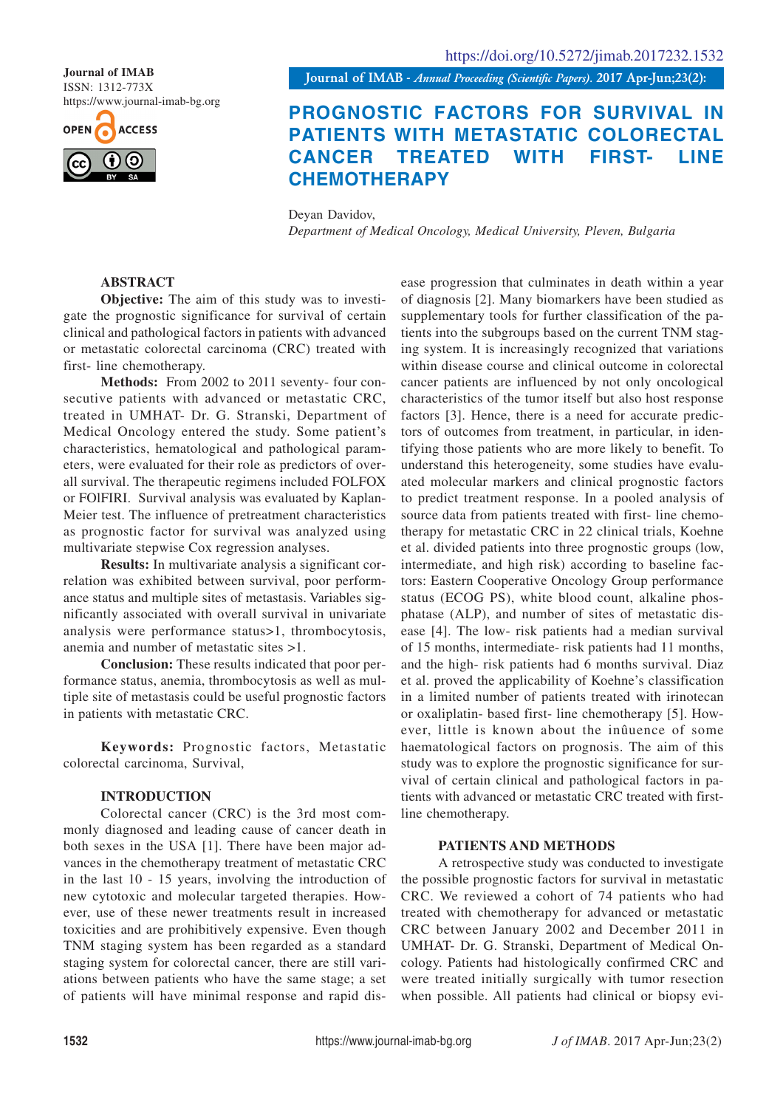ISSN: 1312-773X https://www.journal-imab-bg.org

**ACCESS** 

**Journal of IMAB** *- Annual Proceeding (Scientific Papers).* **2017 Apr-Jun;23(2): Journal of IMAB**

# **PROGNOSTIC FACTORS FOR SURVIVAL IN PATIENTS WITH METASTATIC COLORECTAL CANCER TREATED WITH FIRST- LINE CHEMOTHERAPY**

Deyan Davidov, *Department of Medical Oncology, Medical University, Pleven, Bulgaria*

# **ABSTRACT**

**Objective:** The aim of this study was to investigate the prognostic significance for survival of certain clinical and pathological factors in patients with advanced or metastatic colorectal carcinoma (CRC) treated with first- line chemotherapy.

**Methods:** From 2002 to 2011 seventy- four consecutive patients with advanced or metastatic CRC, treated in UMHAT- Dr. G. Stranski, Department of Medical Oncology entered the study. Some patient's characteristics, hematological and pathological parameters, were evaluated for their role as predictors of overall survival. The therapeutic regimens included FOLFOX or FOlFIRI. Survival analysis was evaluated by Kaplan-Meier test. The influence of pretreatment characteristics as prognostic factor for survival was analyzed using multivariate stepwise Cox regression analyses.

**Results:** In multivariate analysis a significant correlation was exhibited between survival, poor performance status and multiple sites of metastasis. Variables significantly associated with overall survival in univariate analysis were performance status>1, thrombocytosis, anemia and number of metastatic sites >1.

**Conclusion:** These results indicated that poor performance status, anemia, thrombocytosis as well as multiple site of metastasis could be useful prognostic factors in patients with metastatic CRC.

**Keywords:** Prognostic factors, Metastatic colorectal carcinoma, Survival,

# **INTRODUCTION**

Colorectal cancer (CRC) is the 3rd most commonly diagnosed and leading cause of cancer death in both sexes in the USA [1]. There have been major advances in the chemotherapy treatment of metastatic CRC in the last 10 - 15 years, involving the introduction of new cytotoxic and molecular targeted therapies. However, use of these newer treatments result in increased toxicities and are prohibitively expensive. Even though TNM staging system has been regarded as a standard staging system for colorectal cancer, there are still variations between patients who have the same stage; a set of patients will have minimal response and rapid dis-

ease progression that culminates in death within a year of diagnosis [2]. Many biomarkers have been studied as supplementary tools for further classification of the patients into the subgroups based on the current TNM staging system. It is increasingly recognized that variations within disease course and clinical outcome in colorectal cancer patients are influenced by not only oncological characteristics of the tumor itself but also host response factors [3]. Hence, there is a need for accurate predictors of outcomes from treatment, in particular, in identifying those patients who are more likely to benefit. To understand this heterogeneity, some studies have evaluated molecular markers and clinical prognostic factors to predict treatment response. In a pooled analysis of source data from patients treated with first- line chemotherapy for metastatic CRC in 22 clinical trials, Koehne et al. divided patients into three prognostic groups (low, intermediate, and high risk) according to baseline factors: Eastern Cooperative Oncology Group performance status (ECOG PS), white blood count, alkaline phosphatase (ALP), and number of sites of metastatic disease [4]. The low- risk patients had a median survival of 15 months, intermediate- risk patients had 11 months, and the high- risk patients had 6 months survival. Diaz et al. proved the applicability of Koehne's classification in a limited number of patients treated with irinotecan or oxaliplatin- based first- line chemotherapy [5]. However, little is known about the inûuence of some haematological factors on prognosis. The aim of this study was to explore the prognostic significance for survival of certain clinical and pathological factors in patients with advanced or metastatic CRC treated with firstline chemotherapy.

## **PATIENTS AND METHODS**

A retrospective study was conducted to investigate the possible prognostic factors for survival in metastatic CRC. We reviewed a cohort of 74 patients who had treated with chemotherapy for advanced or metastatic CRC between January 2002 and December 2011 in UMHAT- Dr. G. Stranski, Department of Medical Oncology. Patients had histologically confirmed CRC and were treated initially surgically with tumor resection when possible. All patients had clinical or biopsy evi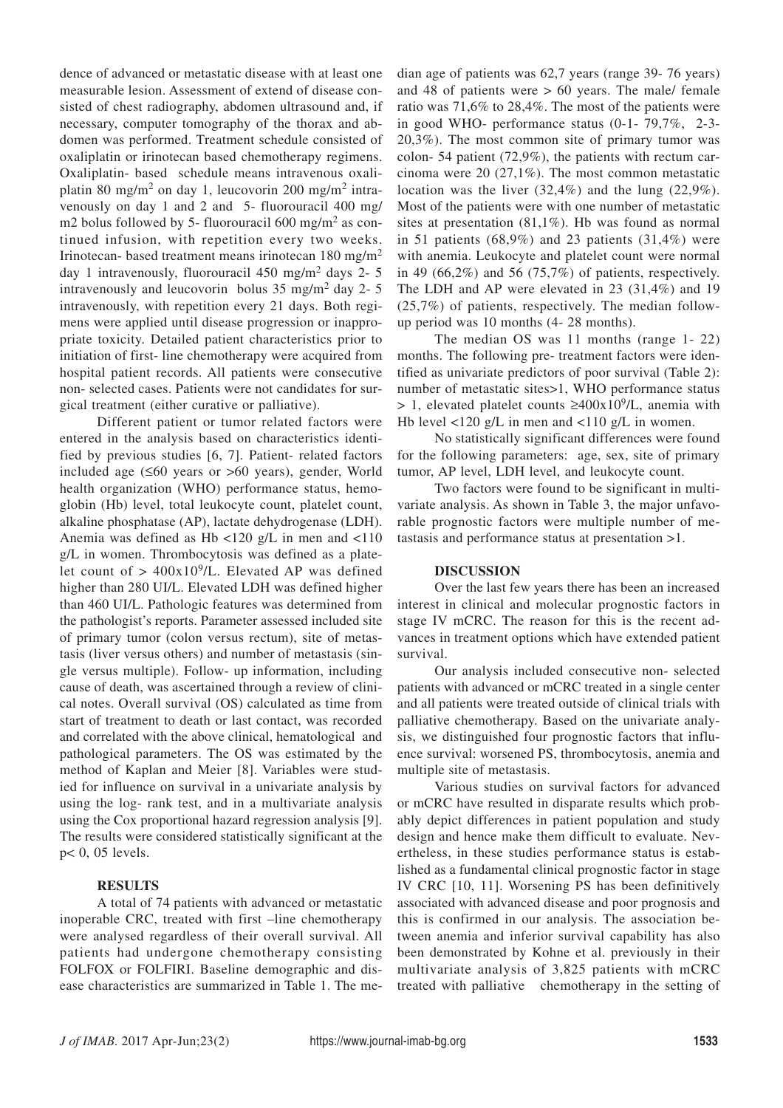dence of advanced or metastatic disease with at least one measurable lesion. Assessment of extend of disease consisted of chest radiography, abdomen ultrasound and, if necessary, computer tomography of the thorax and abdomen was performed. Treatment schedule consisted of oxaliplatin or irinotecan based chemotherapy regimens. Oxaliplatin- based schedule means intravenous oxaliplatin 80 mg/m<sup>2</sup> on day 1, leucovorin 200 mg/m<sup>2</sup> intravenously on day 1 and 2 and 5- fluorouracil 400 mg/ m2 bolus followed by 5- fluorouracil 600 mg/m<sup>2</sup> as continued infusion, with repetition every two weeks. Irinotecan- based treatment means irinotecan 180 mg/m<sup>2</sup> day 1 intravenously, fluorouracil  $450 \text{ mg/m}^2$  days 2- 5 intravenously and leucovorin bolus  $35 \text{ mg/m}^2$  day 2- 5 intravenously, with repetition every 21 days. Both regimens were applied until disease progression or inappropriate toxicity. Detailed patient characteristics prior to initiation of first- line chemotherapy were acquired from hospital patient records. All patients were consecutive non- selected cases. Patients were not candidates for surgical treatment (either curative or palliative).

Different patient or tumor related factors were entered in the analysis based on characteristics identified by previous studies [6, 7]. Patient- related factors included age (≤60 years or >60 years), gender, World health organization (WHO) performance status, hemoglobin (Hb) level, total leukocyte count, platelet count, alkaline phosphatase (AP), lactate dehydrogenase (LDH). Anemia was defined as Hb <120 g/L in men and <110 g/L in women. Thrombocytosis was defined as a platelet count of  $> 400x10^9$ /L. Elevated AP was defined higher than 280 UI/L. Elevated LDH was defined higher than 460 UI/L. Pathologic features was determined from the pathologist's reports. Parameter assessed included site of primary tumor (colon versus rectum), site of metastasis (liver versus others) and number of metastasis (single versus multiple). Follow- up information, including cause of death, was ascertained through a review of clinical notes. Overall survival (OS) calculated as time from start of treatment to death or last contact, was recorded and correlated with the above clinical, hematological and pathological parameters. The OS was estimated by the method of Kaplan and Meier [8]. Variables were studied for influence on survival in a univariate analysis by using the log- rank test, and in a multivariate analysis using the Cox proportional hazard regression analysis [9]. The results were considered statistically significant at the p< 0, 05 levels.

## **RESULTS**

A total of 74 patients with advanced or metastatic inoperable CRC, treated with first –line chemotherapy were analysed regardless of their overall survival. All patients had undergone chemotherapy consisting FOLFOX or FOLFIRI. Baseline demographic and disease characteristics are summarized in Table 1. The median age of patients was 62,7 years (range 39- 76 years) and 48 of patients were > 60 years. The male/ female ratio was 71,6% to 28,4%. The most of the patients were in good WHO- performance status (0-1- 79,7%, 2-3- 20,3%). The most common site of primary tumor was colon- 54 patient (72,9%), the patients with rectum carcinoma were 20 (27,1%). The most common metastatic location was the liver (32,4%) and the lung (22,9%). Most of the patients were with one number of metastatic sites at presentation (81,1%). Hb was found as normal in 51 patients  $(68.9\%)$  and 23 patients  $(31.4\%)$  were with anemia. Leukocyte and platelet count were normal in 49  $(66,2\%)$  and 56  $(75,7\%)$  of patients, respectively. The LDH and AP were elevated in 23 (31,4%) and 19 (25,7%) of patients, respectively. The median followup period was 10 months (4- 28 months).

The median OS was 11 months (range 1- 22) months. The following pre- treatment factors were identified as univariate predictors of poor survival (Table 2): number of metastatic sites>1, WHO performance status > 1, elevated platelet counts ≥400x10<sup>9</sup>/L, anemia with Hb level <120 g/L in men and <110 g/L in women.

No statistically significant differences were found for the following parameters: age, sex, site of primary tumor, AP level, LDH level, and leukocyte count.

Two factors were found to be significant in multivariate analysis. As shown in Table 3, the major unfavorable prognostic factors were multiple number of metastasis and performance status at presentation >1.

#### **DISCUSSION**

Over the last few years there has been an increased interest in clinical and molecular prognostic factors in stage IV mCRC. The reason for this is the recent advances in treatment options which have extended patient survival.

Our analysis included consecutive non- selected patients with advanced or mCRC treated in a single center and all patients were treated outside of clinical trials with palliative chemotherapy. Based on the univariate analysis, we distinguished four prognostic factors that influence survival: worsened PS, thrombocytosis, anemia and multiple site of metastasis.

Various studies on survival factors for advanced or mCRC have resulted in disparate results which probably depict differences in patient population and study design and hence make them difficult to evaluate. Nevertheless, in these studies performance status is established as a fundamental clinical prognostic factor in stage IV CRC [10, 11]. Worsening PS has been definitively associated with advanced disease and poor prognosis and this is confirmed in our analysis. The association between anemia and inferior survival capability has also been demonstrated by Kohne et al. previously in their multivariate analysis of 3,825 patients with mCRC treated with palliative chemotherapy in the setting of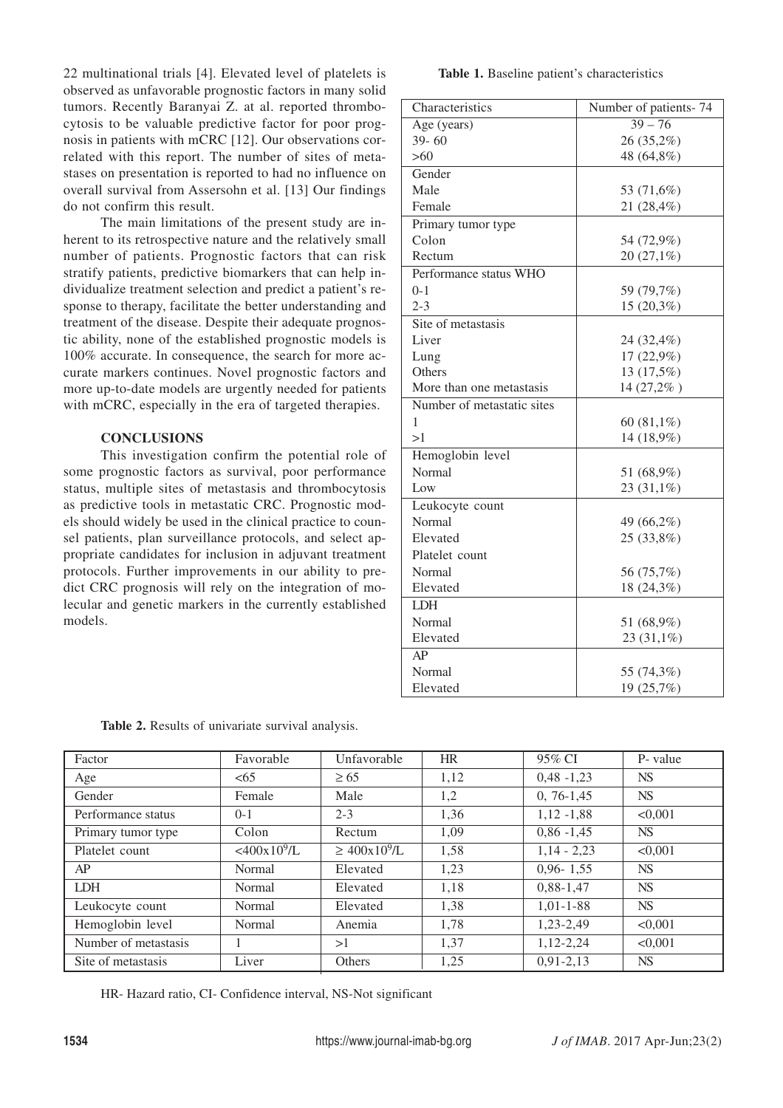22 multinational trials [4]. Elevated level of platelets is observed as unfavorable prognostic factors in many solid tumors. Recently Baranyai Z. at al. reported thrombocytosis to be valuable predictive factor for poor prognosis in patients with mCRC [12]. Our observations correlated with this report. The number of sites of metastases on presentation is reported to had no influence on overall survival from Assersohn et al. [13] Our findings do not confirm this result.

The main limitations of the present study are inherent to its retrospective nature and the relatively small number of patients. Prognostic factors that can risk stratify patients, predictive biomarkers that can help individualize treatment selection and predict a patient's response to therapy, facilitate the better understanding and treatment of the disease. Despite their adequate prognostic ability, none of the established prognostic models is 100% accurate. In consequence, the search for more accurate markers continues. Novel prognostic factors and more up-to-date models are urgently needed for patients with mCRC, especially in the era of targeted therapies.

## **CONCLUSIONS**

This investigation confirm the potential role of some prognostic factors as survival, poor performance status, multiple sites of metastasis and thrombocytosis as predictive tools in metastatic CRC. Prognostic models should widely be used in the clinical practice to counsel patients, plan surveillance protocols, and select appropriate candidates for inclusion in adjuvant treatment protocols. Further improvements in our ability to predict CRC prognosis will rely on the integration of molecular and genetic markers in the currently established models.

#### **Table 1.** Baseline patient's characteristics

| Characteristics            | Number of patients-74 |
|----------------------------|-----------------------|
| Age (years)                | $39 - 76$             |
| $39 - 60$                  | 26 (35,2%)            |
| >60                        | 48 (64,8%)            |
| Gender                     |                       |
| Male                       | 53 (71,6%)            |
| Female                     | 21 (28,4%)            |
| Primary tumor type         |                       |
| Colon                      | 54 (72,9%)            |
| Rectum                     | 20 (27,1%)            |
| Performance status WHO     |                       |
| $0 - 1$                    | 59 (79,7%)            |
| $2 - 3$                    | 15 (20,3%)            |
| Site of metastasis         |                       |
| Liver                      | 24 (32,4%)            |
| Lung                       | 17 (22,9%)            |
| Others                     | 13 (17,5%)            |
| More than one metastasis   | 14 (27,2%)            |
| Number of metastatic sites |                       |
| 1                          | 60 $(81,1\%)$         |
| >1                         | 14 (18,9%)            |
| Hemoglobin level           |                       |
| Normal                     | 51 (68,9%)            |
| Low                        | 23 (31,1%)            |
| Leukocyte count            |                       |
| Normal                     | 49 (66,2%)            |
| Elevated                   | 25 (33,8%)            |
| Platelet count             |                       |
| Normal                     | 56 (75,7%)            |
| Elevated                   | 18 (24,3%)            |
| <b>LDH</b>                 |                       |
| Normal                     | 51 (68,9%)            |
| Elevated                   | $23(31,1\%)$          |
| AP                         |                       |
| Normal                     | 55 (74,3%)            |
| Elevated                   | 19 (25,7%)            |

| <b>Table 2.</b> Results of univariate survival analysis. |  |  |  |  |
|----------------------------------------------------------|--|--|--|--|
|----------------------------------------------------------|--|--|--|--|

| Factor               | Favorable                  | Unfavorable         | HR   | 95% CI        | P- value  |
|----------------------|----------------------------|---------------------|------|---------------|-----------|
| Age                  | <65                        | $\geq 65$           | 1,12 | $0,48 - 1,23$ | <b>NS</b> |
| Gender               | Female                     | Male                | 1,2  | $0, 76-1, 45$ | <b>NS</b> |
| Performance status   | $0-1$                      | $2 - 3$             | 1,36 | $1,12 - 1,88$ | < 0.001   |
| Primary tumor type   | Colon                      | Rectum              | 1,09 | $0,86 - 1,45$ | <b>NS</b> |
| Platelet count       | $<$ 400x10 <sup>9</sup> /L | $\geq 400x10^{9}/L$ | 1,58 | $1,14 - 2,23$ | < 0.001   |
| AP                   | Normal                     | Elevated            | 1,23 | $0,96 - 1,55$ | <b>NS</b> |
| <b>LDH</b>           | Normal                     | Elevated            | 1,18 | $0,88-1,47$   | <b>NS</b> |
| Leukocyte count      | Normal                     | Elevated            | 1.38 | $1,01-1-88$   | <b>NS</b> |
| Hemoglobin level     | Normal                     | Anemia              | 1,78 | 1,23-2,49     | < 0.001   |
| Number of metastasis |                            | >1                  | 1.37 | $1,12-2,24$   | < 0.001   |
| Site of metastasis   | Liver                      | Others              | 1,25 | $0,91-2,13$   | <b>NS</b> |

HR- Hazard ratio, CI- Confidence interval, NS-Not significant